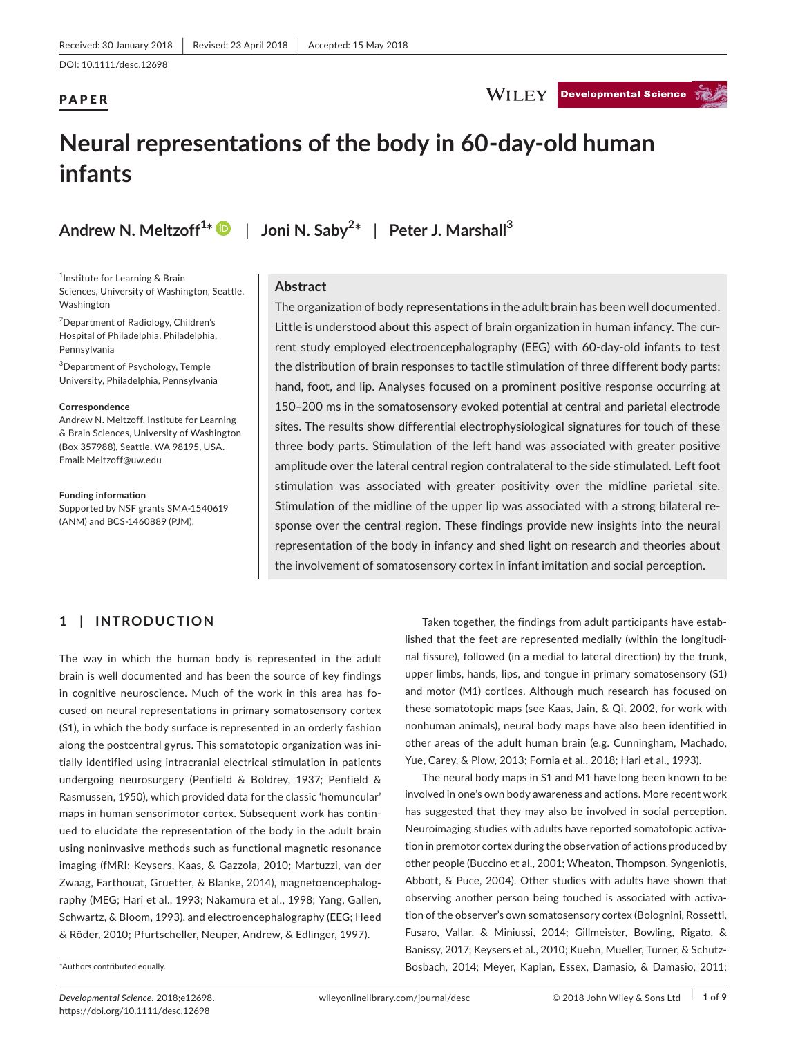DOI: 10.1111/desc.12698

# PAPER



# **Neural representations of the body in 60-day-old human infants**

**Andrew N. Meltzoff<sup>1</sup> \*** | **Joni N. Saby<sup>2</sup> \*** | **Peter J. Marshall<sup>3</sup>**

<sup>1</sup>Institute for Learning & Brain Sciences, University of Washington, Seattle, Washington

2 Department of Radiology, Children's Hospital of Philadelphia, Philadelphia, Pennsylvania

3 Department of Psychology, Temple University, Philadelphia, Pennsylvania

#### **Correspondence**

Andrew N. Meltzoff, Institute for Learning & Brain Sciences, University of Washington (Box 357988), Seattle, WA 98195, USA. Email: [Meltzoff@uw.edu](mailto:Meltzoff@uw.edu)

**Funding information** Supported by NSF grants SMA-1540619 (ANM) and BCS-1460889 (PJM).

# **Abstract**

The organization of body representations in the adult brain has been well documented. Little is understood about this aspect of brain organization in human infancy. The current study employed electroencephalography (EEG) with 60-day-old infants to test the distribution of brain responses to tactile stimulation of three different body parts: hand, foot, and lip. Analyses focused on a prominent positive response occurring at 150–200 ms in the somatosensory evoked potential at central and parietal electrode sites. The results show differential electrophysiological signatures for touch of these three body parts. Stimulation of the left hand was associated with greater positive amplitude over the lateral central region contralateral to the side stimulated. Left foot stimulation was associated with greater positivity over the midline parietal site. Stimulation of the midline of the upper lip was associated with a strong bilateral response over the central region. These findings provide new insights into the neural representation of the body in infancy and shed light on research and theories about the involvement of somatosensory cortex in infant imitation and social perception.

# **1** | **INTRODUCTION**

The way in which the human body is represented in the adult brain is well documented and has been the source of key findings in cognitive neuroscience. Much of the work in this area has focused on neural representations in primary somatosensory cortex (S1), in which the body surface is represented in an orderly fashion along the postcentral gyrus. This somatotopic organization was initially identified using intracranial electrical stimulation in patients undergoing neurosurgery (Penfield & Boldrey, 1937; Penfield & Rasmussen, 1950), which provided data for the classic 'homuncular' maps in human sensorimotor cortex. Subsequent work has continued to elucidate the representation of the body in the adult brain using noninvasive methods such as functional magnetic resonance imaging (fMRI; Keysers, Kaas, & Gazzola, 2010; Martuzzi, van der Zwaag, Farthouat, Gruetter, & Blanke, 2014), magnetoencephalography (MEG; Hari et al., 1993; Nakamura et al., 1998; Yang, Gallen, Schwartz, & Bloom, 1993), and electroencephalography (EEG; Heed & Röder, 2010; Pfurtscheller, Neuper, Andrew, & Edlinger, 1997).

\*Authors contributed equally.

Taken together, the findings from adult participants have established that the feet are represented medially (within the longitudinal fissure), followed (in a medial to lateral direction) by the trunk, upper limbs, hands, lips, and tongue in primary somatosensory (S1) and motor (M1) cortices. Although much research has focused on these somatotopic maps (see Kaas, Jain, & Qi, 2002, for work with nonhuman animals), neural body maps have also been identified in other areas of the adult human brain (e.g. Cunningham, Machado, Yue, Carey, & Plow, 2013; Fornia et al., 2018; Hari et al., 1993).

The neural body maps in S1 and M1 have long been known to be involved in one's own body awareness and actions. More recent work has suggested that they may also be involved in social perception. Neuroimaging studies with adults have reported somatotopic activation in premotor cortex during the observation of actions produced by other people (Buccino et al., 2001; Wheaton, Thompson, Syngeniotis, Abbott, & Puce, 2004). Other studies with adults have shown that observing another person being touched is associated with activation of the observer's own somatosensory cortex (Bolognini, Rossetti, Fusaro, Vallar, & Miniussi, 2014; Gillmeister, Bowling, Rigato, & Banissy, 2017; Keysers et al., 2010; Kuehn, Mueller, Turner, & Schutz-Bosbach, 2014; Meyer, Kaplan, Essex, Damasio, & Damasio, 2011;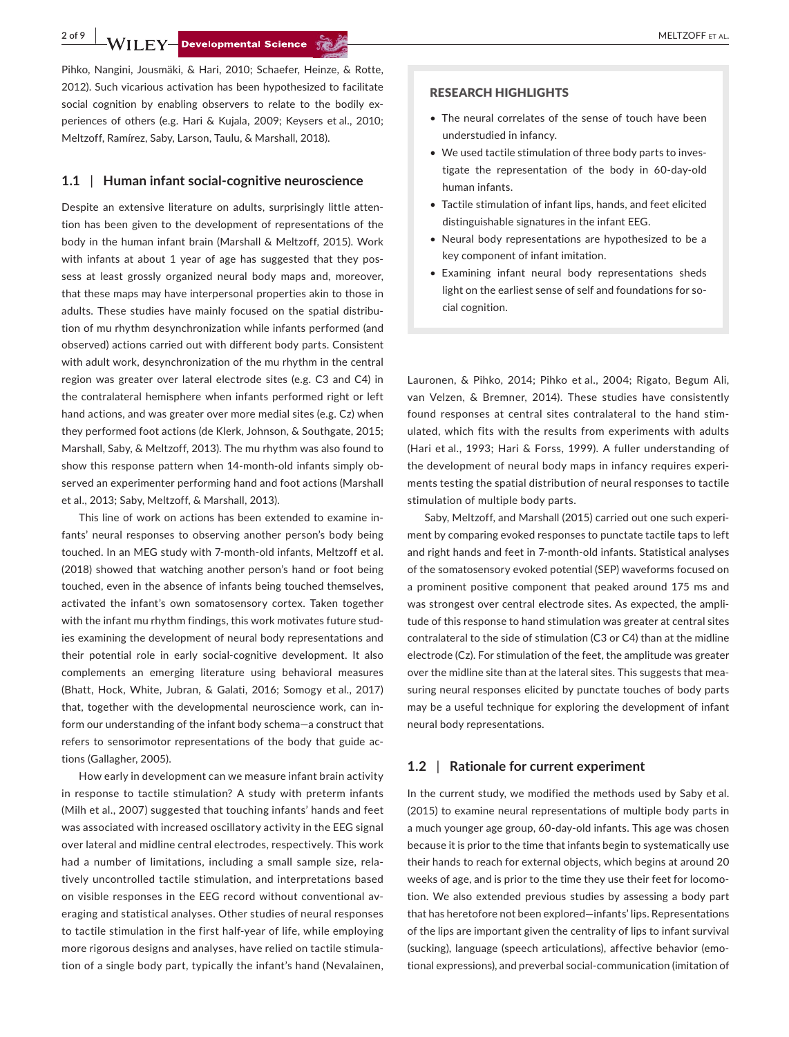**2 of 9 WILEY Developmental Science Section Contract Contract Contract Contract Contract Contract Contract Contract Contract Contract Contract Contract Contract Contract Contract Contract Contract Contract Contract Contrac** 

Pihko, Nangini, Jousmäki, & Hari, 2010; Schaefer, Heinze, & Rotte, 2012). Such vicarious activation has been hypothesized to facilitate social cognition by enabling observers to relate to the bodily experiences of others (e.g. Hari & Kujala, 2009; Keysers et al., 2010; Meltzoff, Ramírez, Saby, Larson, Taulu, & Marshall, 2018).

#### **1.1** | **Human infant social-cognitive neuroscience**

Despite an extensive literature on adults, surprisingly little attention has been given to the development of representations of the body in the human infant brain (Marshall & Meltzoff, 2015). Work with infants at about 1 year of age has suggested that they possess at least grossly organized neural body maps and, moreover, that these maps may have interpersonal properties akin to those in adults. These studies have mainly focused on the spatial distribution of mu rhythm desynchronization while infants performed (and observed) actions carried out with different body parts. Consistent with adult work, desynchronization of the mu rhythm in the central region was greater over lateral electrode sites (e.g. C3 and C4) in the contralateral hemisphere when infants performed right or left hand actions, and was greater over more medial sites (e.g. Cz) when they performed foot actions (de Klerk, Johnson, & Southgate, 2015; Marshall, Saby, & Meltzoff, 2013). The mu rhythm was also found to show this response pattern when 14-month-old infants simply observed an experimenter performing hand and foot actions (Marshall et al., 2013; Saby, Meltzoff, & Marshall, 2013).

This line of work on actions has been extended to examine infants' neural responses to observing another person's body being touched. In an MEG study with 7-month-old infants, Meltzoff et al. (2018) showed that watching another person's hand or foot being touched, even in the absence of infants being touched themselves, activated the infant's own somatosensory cortex. Taken together with the infant mu rhythm findings, this work motivates future studies examining the development of neural body representations and their potential role in early social-cognitive development. It also complements an emerging literature using behavioral measures (Bhatt, Hock, White, Jubran, & Galati, 2016; Somogy et al., 2017) that, together with the developmental neuroscience work, can inform our understanding of the infant body schema—a construct that refers to sensorimotor representations of the body that guide actions (Gallagher, 2005).

How early in development can we measure infant brain activity in response to tactile stimulation? A study with preterm infants (Milh et al., 2007) suggested that touching infants' hands and feet was associated with increased oscillatory activity in the EEG signal over lateral and midline central electrodes, respectively. This work had a number of limitations, including a small sample size, relatively uncontrolled tactile stimulation, and interpretations based on visible responses in the EEG record without conventional averaging and statistical analyses. Other studies of neural responses to tactile stimulation in the first half-year of life, while employing more rigorous designs and analyses, have relied on tactile stimulation of a single body part, typically the infant's hand (Nevalainen,

#### RESEARCH HIGHLIGHTS

- The neural correlates of the sense of touch have been understudied in infancy.
- We used tactile stimulation of three body parts to investigate the representation of the body in 60-day-old human infants.
- Tactile stimulation of infant lips, hands, and feet elicited distinguishable signatures in the infant EEG.
- Neural body representations are hypothesized to be a key component of infant imitation.
- Examining infant neural body representations sheds light on the earliest sense of self and foundations for social cognition.

Lauronen, & Pihko, 2014; Pihko et al., 2004; Rigato, Begum Ali, van Velzen, & Bremner, 2014). These studies have consistently found responses at central sites contralateral to the hand stimulated, which fits with the results from experiments with adults (Hari et al., 1993; Hari & Forss, 1999). A fuller understanding of the development of neural body maps in infancy requires experiments testing the spatial distribution of neural responses to tactile stimulation of multiple body parts.

Saby, Meltzoff, and Marshall (2015) carried out one such experiment by comparing evoked responses to punctate tactile taps to left and right hands and feet in 7-month-old infants. Statistical analyses of the somatosensory evoked potential (SEP) waveforms focused on a prominent positive component that peaked around 175 ms and was strongest over central electrode sites. As expected, the amplitude of this response to hand stimulation was greater at central sites contralateral to the side of stimulation (C3 or C4) than at the midline electrode (Cz). For stimulation of the feet, the amplitude was greater over the midline site than at the lateral sites. This suggests that measuring neural responses elicited by punctate touches of body parts may be a useful technique for exploring the development of infant neural body representations.

## **1.2** | **Rationale for current experiment**

In the current study, we modified the methods used by Saby et al. (2015) to examine neural representations of multiple body parts in a much younger age group, 60-day-old infants. This age was chosen because it is prior to the time that infants begin to systematically use their hands to reach for external objects, which begins at around 20 weeks of age, and is prior to the time they use their feet for locomotion. We also extended previous studies by assessing a body part that has heretofore not been explored—infants' lips. Representations of the lips are important given the centrality of lips to infant survival (sucking), language (speech articulations), affective behavior (emotional expressions), and preverbal social-communication (imitation of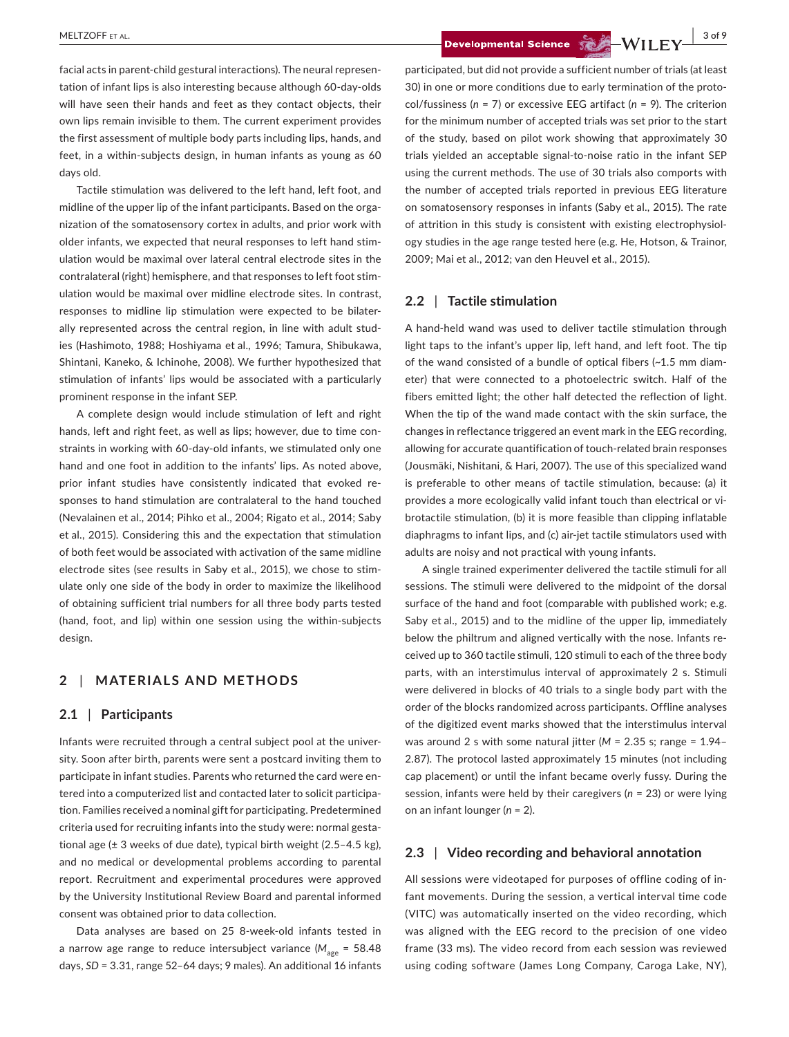facial acts in parent-child gestural interactions). The neural representation of infant lips is also interesting because although 60-day-olds will have seen their hands and feet as they contact objects, their own lips remain invisible to them. The current experiment provides the first assessment of multiple body parts including lips, hands, and feet, in a within-subjects design, in human infants as young as 60 days old.

Tactile stimulation was delivered to the left hand, left foot, and midline of the upper lip of the infant participants. Based on the organization of the somatosensory cortex in adults, and prior work with older infants, we expected that neural responses to left hand stimulation would be maximal over lateral central electrode sites in the contralateral (right) hemisphere, and that responses to left foot stimulation would be maximal over midline electrode sites. In contrast, responses to midline lip stimulation were expected to be bilaterally represented across the central region, in line with adult studies (Hashimoto, 1988; Hoshiyama et al., 1996; Tamura, Shibukawa, Shintani, Kaneko, & Ichinohe, 2008). We further hypothesized that stimulation of infants' lips would be associated with a particularly prominent response in the infant SEP.

A complete design would include stimulation of left and right hands, left and right feet, as well as lips; however, due to time constraints in working with 60-day-old infants, we stimulated only one hand and one foot in addition to the infants' lips. As noted above, prior infant studies have consistently indicated that evoked responses to hand stimulation are contralateral to the hand touched (Nevalainen et al., 2014; Pihko et al., 2004; Rigato et al., 2014; Saby et al., 2015). Considering this and the expectation that stimulation of both feet would be associated with activation of the same midline electrode sites (see results in Saby et al., 2015), we chose to stimulate only one side of the body in order to maximize the likelihood of obtaining sufficient trial numbers for all three body parts tested (hand, foot, and lip) within one session using the within-subjects design.

# **2** | **MATERIALS AND METHODS**

#### **2.1** | **Participants**

Infants were recruited through a central subject pool at the university. Soon after birth, parents were sent a postcard inviting them to participate in infant studies. Parents who returned the card were entered into a computerized list and contacted later to solicit participation. Families received a nominal gift for participating. Predetermined criteria used for recruiting infants into the study were: normal gestational age (± 3 weeks of due date), typical birth weight (2.5–4.5 kg), and no medical or developmental problems according to parental report. Recruitment and experimental procedures were approved by the University Institutional Review Board and parental informed consent was obtained prior to data collection.

Data analyses are based on 25 8-week-old infants tested in a narrow age range to reduce intersubject variance (M<sub>age</sub> = 58.48 days, *SD* = 3.31, range 52–64 days; 9 males). An additional 16 infants participated, but did not provide a sufficient number of trials (at least 30) in one or more conditions due to early termination of the protocol/fussiness (*n* = 7) or excessive EEG artifact (*n* = 9). The criterion for the minimum number of accepted trials was set prior to the start of the study, based on pilot work showing that approximately 30 trials yielded an acceptable signal-to-noise ratio in the infant SEP using the current methods. The use of 30 trials also comports with the number of accepted trials reported in previous EEG literature on somatosensory responses in infants (Saby et al., 2015). The rate of attrition in this study is consistent with existing electrophysiology studies in the age range tested here (e.g. He, Hotson, & Trainor, 2009; Mai et al., 2012; van den Heuvel et al., 2015).

# **2.2** | **Tactile stimulation**

A hand-held wand was used to deliver tactile stimulation through light taps to the infant's upper lip, left hand, and left foot. The tip of the wand consisted of a bundle of optical fibers (~1.5 mm diameter) that were connected to a photoelectric switch. Half of the fibers emitted light; the other half detected the reflection of light. When the tip of the wand made contact with the skin surface, the changes in reflectance triggered an event mark in the EEG recording, allowing for accurate quantification of touch-related brain responses (Jousmäki, Nishitani, & Hari, 2007). The use of this specialized wand is preferable to other means of tactile stimulation, because: (a) it provides a more ecologically valid infant touch than electrical or vibrotactile stimulation, (b) it is more feasible than clipping inflatable diaphragms to infant lips, and (c) air-jet tactile stimulators used with adults are noisy and not practical with young infants.

A single trained experimenter delivered the tactile stimuli for all sessions. The stimuli were delivered to the midpoint of the dorsal surface of the hand and foot (comparable with published work; e.g. Saby et al., 2015) and to the midline of the upper lip, immediately below the philtrum and aligned vertically with the nose. Infants received up to 360 tactile stimuli, 120 stimuli to each of the three body parts, with an interstimulus interval of approximately 2 s. Stimuli were delivered in blocks of 40 trials to a single body part with the order of the blocks randomized across participants. Offline analyses of the digitized event marks showed that the interstimulus interval was around 2 s with some natural jitter (*M* = 2.35 s; range = 1.94– 2.87). The protocol lasted approximately 15 minutes (not including cap placement) or until the infant became overly fussy. During the session, infants were held by their caregivers (*n* = 23) or were lying on an infant lounger (*n* = 2).

# **2.3** | **Video recording and behavioral annotation**

All sessions were videotaped for purposes of offline coding of infant movements. During the session, a vertical interval time code (VITC) was automatically inserted on the video recording, which was aligned with the EEG record to the precision of one video frame (33 ms). The video record from each session was reviewed using coding software (James Long Company, Caroga Lake, NY),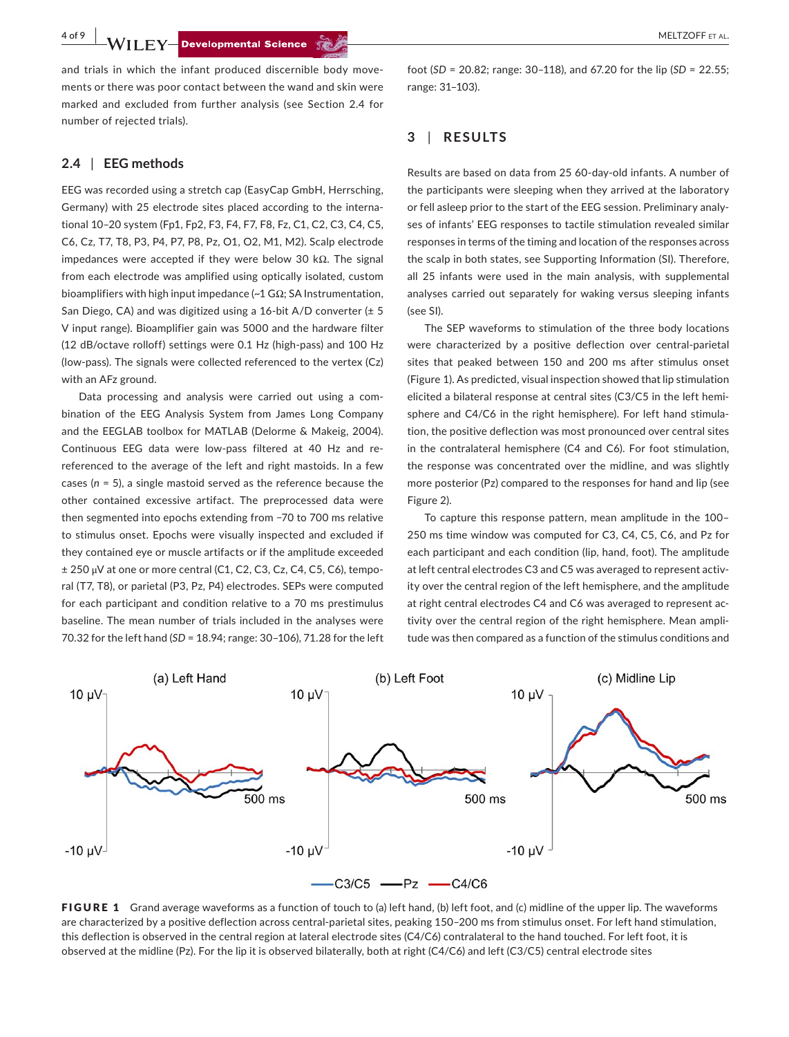**4 of 9 WII FY-Developmental Science Section Construction Construction of the MELTZOFF ET AL.** 

and trials in which the infant produced discernible body movements or there was poor contact between the wand and skin were marked and excluded from further analysis (see Section 2.4 for number of rejected trials).

#### **2.4** | **EEG methods**

EEG was recorded using a stretch cap (EasyCap GmbH, Herrsching, Germany) with 25 electrode sites placed according to the international 10–20 system (Fp1, Fp2, F3, F4, F7, F8, Fz, C1, C2, C3, C4, C5, C6, Cz, T7, T8, P3, P4, P7, P8, Pz, O1, O2, M1, M2). Scalp electrode impedances were accepted if they were below 30 kΩ. The signal from each electrode was amplified using optically isolated, custom bioamplifiers with high input impedance (~1 GΩ; SA Instrumentation, San Diego, CA) and was digitized using a 16-bit A/D converter (± 5 V input range). Bioamplifier gain was 5000 and the hardware filter (12 dB/octave rolloff) settings were 0.1 Hz (high-pass) and 100 Hz (low-pass). The signals were collected referenced to the vertex (Cz) with an AFz ground.

Data processing and analysis were carried out using a combination of the EEG Analysis System from James Long Company and the EEGLAB toolbox for MATLAB (Delorme & Makeig, 2004). Continuous EEG data were low-pass filtered at 40 Hz and rereferenced to the average of the left and right mastoids. In a few cases (*n* = 5), a single mastoid served as the reference because the other contained excessive artifact. The preprocessed data were then segmented into epochs extending from −70 to 700 ms relative to stimulus onset. Epochs were visually inspected and excluded if they contained eye or muscle artifacts or if the amplitude exceeded ± 250 μV at one or more central (C1, C2, C3, Cz, C4, C5, C6), temporal (T7, T8), or parietal (P3, Pz, P4) electrodes. SEPs were computed for each participant and condition relative to a 70 ms prestimulus baseline. The mean number of trials included in the analyses were 70.32 for the left hand (*SD* = 18.94; range: 30–106), 71.28 for the left

foot (*SD* = 20.82; range: 30–118), and 67.20 for the lip (*SD* = 22.55; range: 31–103).

# **3** | **RESULTS**

Results are based on data from 25 60-day-old infants. A number of the participants were sleeping when they arrived at the laboratory or fell asleep prior to the start of the EEG session. Preliminary analyses of infants' EEG responses to tactile stimulation revealed similar responses in terms of the timing and location of the responses across the scalp in both states, see Supporting Information (SI). Therefore, all 25 infants were used in the main analysis, with supplemental analyses carried out separately for waking versus sleeping infants (see SI).

The SEP waveforms to stimulation of the three body locations were characterized by a positive deflection over central-parietal sites that peaked between 150 and 200 ms after stimulus onset (Figure 1). As predicted, visual inspection showed that lip stimulation elicited a bilateral response at central sites (C3/C5 in the left hemisphere and C4/C6 in the right hemisphere). For left hand stimulation, the positive deflection was most pronounced over central sites in the contralateral hemisphere (C4 and C6). For foot stimulation, the response was concentrated over the midline, and was slightly more posterior (Pz) compared to the responses for hand and lip (see Figure 2).

To capture this response pattern, mean amplitude in the 100– 250 ms time window was computed for C3, C4, C5, C6, and Pz for each participant and each condition (lip, hand, foot). The amplitude at left central electrodes C3 and C5 was averaged to represent activity over the central region of the left hemisphere, and the amplitude at right central electrodes C4 and C6 was averaged to represent activity over the central region of the right hemisphere. Mean amplitude was then compared as a function of the stimulus conditions and



FIGURE 1 Grand average waveforms as a function of touch to (a) left hand, (b) left foot, and (c) midline of the upper lip. The waveforms are characterized by a positive deflection across central-parietal sites, peaking 150–200 ms from stimulus onset. For left hand stimulation, this deflection is observed in the central region at lateral electrode sites (C4/C6) contralateral to the hand touched. For left foot, it is observed at the midline (Pz). For the lip it is observed bilaterally, both at right (C4/C6) and left (C3/C5) central electrode sites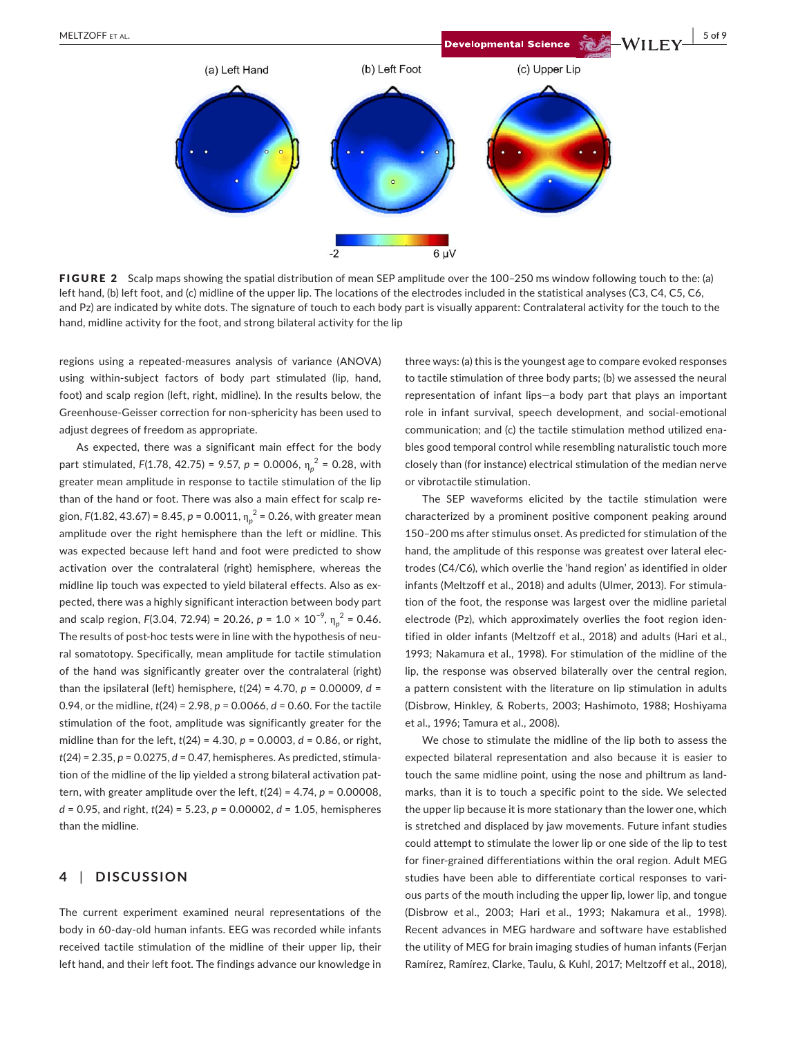

FIGURE 2 Scalp maps showing the spatial distribution of mean SEP amplitude over the 100–250 ms window following touch to the: (a) left hand, (b) left foot, and (c) midline of the upper lip. The locations of the electrodes included in the statistical analyses (C3, C4, C5, C6, and Pz) are indicated by white dots. The signature of touch to each body part is visually apparent: Contralateral activity for the touch to the hand, midline activity for the foot, and strong bilateral activity for the lip

regions using a repeated-measures analysis of variance (ANOVA) using within-subject factors of body part stimulated (lip, hand, foot) and scalp region (left, right, midline). In the results below, the Greenhouse-Geisser correction for non-sphericity has been used to adjust degrees of freedom as appropriate.

As expected, there was a significant main effect for the body part stimulated, *F*(1.78, 42.75) = 9.57, *p* = 0.0006, η*<sup>p</sup>* 2 = 0.28, with greater mean amplitude in response to tactile stimulation of the lip than of the hand or foot. There was also a main effect for scalp region, *F*(1.82, 43.67) = 8.45, *p* = 0.0011, η*<sup>p</sup>* 2 = 0.26, with greater mean amplitude over the right hemisphere than the left or midline. This was expected because left hand and foot were predicted to show activation over the contralateral (right) hemisphere, whereas the midline lip touch was expected to yield bilateral effects. Also as expected, there was a highly significant interaction between body part and scalp region, *F*(3.04, 72.94) = 20.26, *p* =  $1.0 \times 10^{-9}$ ,  $\eta_p^2$  = 0.46. The results of post-hoc tests were in line with the hypothesis of neural somatotopy. Specifically, mean amplitude for tactile stimulation of the hand was significantly greater over the contralateral (right) than the ipsilateral (left) hemisphere, *t*(24) = 4.70, *p* = 0.00009, *d* = 0.94, or the midline, *t*(24) = 2.98, *p* = 0.0066, *d* = 0.60. For the tactile stimulation of the foot, amplitude was significantly greater for the midline than for the left, *t*(24) = 4.30, *p* = 0.0003, *d* = 0.86, or right, *t*(24) = 2.35, *p* = 0.0275, *d* = 0.47, hemispheres. As predicted, stimulation of the midline of the lip yielded a strong bilateral activation pattern, with greater amplitude over the left, *t*(24) = 4.74, *p* = 0.00008, *d* = 0.95, and right, *t*(24) = 5.23, *p* = 0.00002, *d* = 1.05, hemispheres than the midline.

# **4** | **DISCUSSION**

The current experiment examined neural representations of the body in 60-day-old human infants. EEG was recorded while infants received tactile stimulation of the midline of their upper lip, their left hand, and their left foot. The findings advance our knowledge in

three ways: (a) this is the youngest age to compare evoked responses to tactile stimulation of three body parts; (b) we assessed the neural representation of infant lips—a body part that plays an important role in infant survival, speech development, and social-emotional communication; and (c) the tactile stimulation method utilized enables good temporal control while resembling naturalistic touch more closely than (for instance) electrical stimulation of the median nerve or vibrotactile stimulation.

The SEP waveforms elicited by the tactile stimulation were characterized by a prominent positive component peaking around 150–200 ms after stimulus onset. As predicted for stimulation of the hand, the amplitude of this response was greatest over lateral electrodes (C4/C6), which overlie the 'hand region' as identified in older infants (Meltzoff et al., 2018) and adults (Ulmer, 2013). For stimulation of the foot, the response was largest over the midline parietal electrode (Pz), which approximately overlies the foot region identified in older infants (Meltzoff et al., 2018) and adults (Hari et al., 1993; Nakamura et al., 1998). For stimulation of the midline of the lip, the response was observed bilaterally over the central region, a pattern consistent with the literature on lip stimulation in adults (Disbrow, Hinkley, & Roberts, 2003; Hashimoto, 1988; Hoshiyama et al., 1996; Tamura et al., 2008).

We chose to stimulate the midline of the lip both to assess the expected bilateral representation and also because it is easier to touch the same midline point, using the nose and philtrum as landmarks, than it is to touch a specific point to the side. We selected the upper lip because it is more stationary than the lower one, which is stretched and displaced by jaw movements. Future infant studies could attempt to stimulate the lower lip or one side of the lip to test for finer-grained differentiations within the oral region. Adult MEG studies have been able to differentiate cortical responses to various parts of the mouth including the upper lip, lower lip, and tongue (Disbrow et al., 2003; Hari et al., 1993; Nakamura et al., 1998). Recent advances in MEG hardware and software have established the utility of MEG for brain imaging studies of human infants (Ferjan Ramírez, Ramírez, Clarke, Taulu, & Kuhl, 2017; Meltzoff et al., 2018),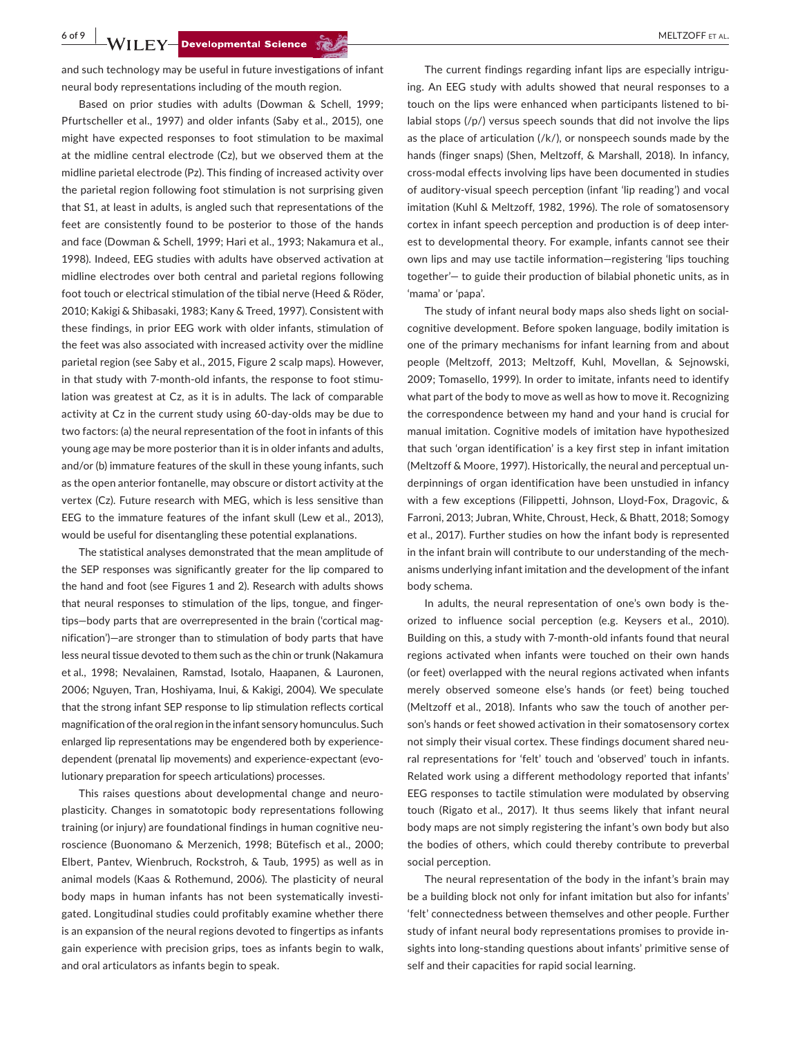**6 of 9 WILEY Developmental Science SECONDER CONSUMER ALL RELEASE PROPERTIES ALL RELEASE PROPERTIES ALL RELEASE PROPERTIES.** 

and such technology may be useful in future investigations of infant neural body representations including of the mouth region.

Based on prior studies with adults (Dowman & Schell, 1999; Pfurtscheller et al., 1997) and older infants (Saby et al., 2015), one might have expected responses to foot stimulation to be maximal at the midline central electrode (Cz), but we observed them at the midline parietal electrode (Pz). This finding of increased activity over the parietal region following foot stimulation is not surprising given that S1, at least in adults, is angled such that representations of the feet are consistently found to be posterior to those of the hands and face (Dowman & Schell, 1999; Hari et al., 1993; Nakamura et al., 1998). Indeed, EEG studies with adults have observed activation at midline electrodes over both central and parietal regions following foot touch or electrical stimulation of the tibial nerve (Heed & Röder, 2010; Kakigi & Shibasaki, 1983; Kany & Treed, 1997). Consistent with these findings, in prior EEG work with older infants, stimulation of the feet was also associated with increased activity over the midline parietal region (see Saby et al., 2015, Figure 2 scalp maps). However, in that study with 7-month-old infants, the response to foot stimulation was greatest at Cz, as it is in adults. The lack of comparable activity at Cz in the current study using 60-day-olds may be due to two factors: (a) the neural representation of the foot in infants of this young age may be more posterior than it is in older infants and adults, and/or (b) immature features of the skull in these young infants, such as the open anterior fontanelle, may obscure or distort activity at the vertex (Cz). Future research with MEG, which is less sensitive than EEG to the immature features of the infant skull (Lew et al., 2013), would be useful for disentangling these potential explanations.

The statistical analyses demonstrated that the mean amplitude of the SEP responses was significantly greater for the lip compared to the hand and foot (see Figures 1 and 2). Research with adults shows that neural responses to stimulation of the lips, tongue, and fingertips—body parts that are overrepresented in the brain ('cortical magnification')—are stronger than to stimulation of body parts that have less neural tissue devoted to them such as the chin or trunk (Nakamura et al., 1998; Nevalainen, Ramstad, Isotalo, Haapanen, & Lauronen, 2006; Nguyen, Tran, Hoshiyama, Inui, & Kakigi, 2004). We speculate that the strong infant SEP response to lip stimulation reflects cortical magnification of the oral region in the infant sensory homunculus. Such enlarged lip representations may be engendered both by experiencedependent (prenatal lip movements) and experience-expectant (evolutionary preparation for speech articulations) processes.

This raises questions about developmental change and neuroplasticity. Changes in somatotopic body representations following training (or injury) are foundational findings in human cognitive neuroscience (Buonomano & Merzenich, 1998; Bütefisch et al., 2000; Elbert, Pantev, Wienbruch, Rockstroh, & Taub, 1995) as well as in animal models (Kaas & Rothemund, 2006). The plasticity of neural body maps in human infants has not been systematically investigated. Longitudinal studies could profitably examine whether there is an expansion of the neural regions devoted to fingertips as infants gain experience with precision grips, toes as infants begin to walk, and oral articulators as infants begin to speak.

The current findings regarding infant lips are especially intriguing. An EEG study with adults showed that neural responses to a touch on the lips were enhanced when participants listened to bilabial stops (/p/) versus speech sounds that did not involve the lips as the place of articulation  $\frac{1}{k}$ , or nonspeech sounds made by the hands (finger snaps) (Shen, Meltzoff, & Marshall, 2018). In infancy, cross-modal effects involving lips have been documented in studies of auditory-visual speech perception (infant 'lip reading') and vocal imitation (Kuhl & Meltzoff, 1982, 1996). The role of somatosensory cortex in infant speech perception and production is of deep interest to developmental theory. For example, infants cannot see their own lips and may use tactile information—registering 'lips touching together'— to guide their production of bilabial phonetic units, as in 'mama' or 'papa'.

The study of infant neural body maps also sheds light on socialcognitive development. Before spoken language, bodily imitation is one of the primary mechanisms for infant learning from and about people (Meltzoff, 2013; Meltzoff, Kuhl, Movellan, & Sejnowski, 2009; Tomasello, 1999). In order to imitate, infants need to identify what part of the body to move as well as how to move it. Recognizing the correspondence between my hand and your hand is crucial for manual imitation. Cognitive models of imitation have hypothesized that such 'organ identification' is a key first step in infant imitation (Meltzoff & Moore, 1997). Historically, the neural and perceptual underpinnings of organ identification have been unstudied in infancy with a few exceptions (Filippetti, Johnson, Lloyd-Fox, Dragovic, & Farroni, 2013; Jubran, White, Chroust, Heck, & Bhatt, 2018; Somogy et al., 2017). Further studies on how the infant body is represented in the infant brain will contribute to our understanding of the mechanisms underlying infant imitation and the development of the infant body schema.

In adults, the neural representation of one's own body is theorized to influence social perception (e.g. Keysers et al., 2010). Building on this, a study with 7-month-old infants found that neural regions activated when infants were touched on their own hands (or feet) overlapped with the neural regions activated when infants merely observed someone else's hands (or feet) being touched (Meltzoff et al., 2018). Infants who saw the touch of another person's hands or feet showed activation in their somatosensory cortex not simply their visual cortex. These findings document shared neural representations for 'felt' touch and 'observed' touch in infants. Related work using a different methodology reported that infants' EEG responses to tactile stimulation were modulated by observing touch (Rigato et al., 2017). It thus seems likely that infant neural body maps are not simply registering the infant's own body but also the bodies of others, which could thereby contribute to preverbal social perception.

The neural representation of the body in the infant's brain may be a building block not only for infant imitation but also for infants' 'felt' connectedness between themselves and other people. Further study of infant neural body representations promises to provide insights into long-standing questions about infants' primitive sense of self and their capacities for rapid social learning.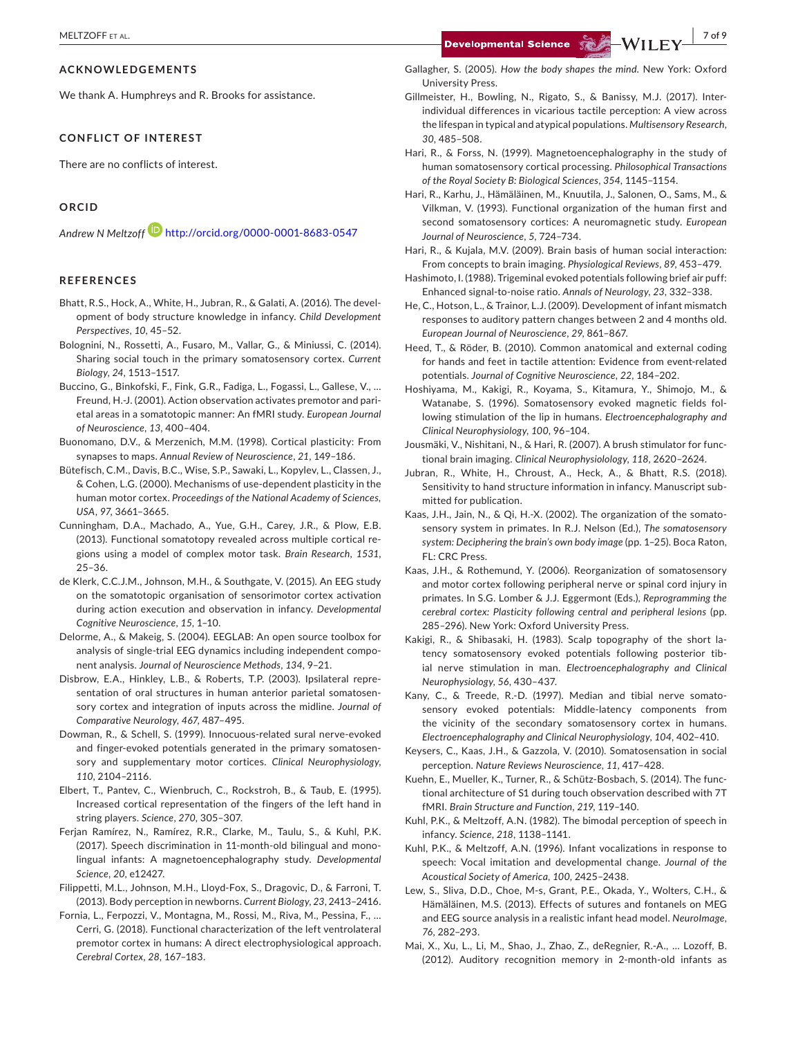#### **ACKNOWLEDGEMENTS**

We thank A. Humphreys and R. Brooks for assistance.

### **CONFLICT OF INTEREST**

There are no conflicts of interest.

# **ORCID**

*Andrew N Meltzof[f](http://orcid.org/0000-0001-8683-0547)* <http://orcid.org/0000-0001-8683-0547>

#### **REFERENCES**

- Bhatt, R.S., Hock, A., White, H., Jubran, R., & Galati, A. (2016). The development of body structure knowledge in infancy. *Child Development Perspectives*, *10*, 45–52.
- Bolognini, N., Rossetti, A., Fusaro, M., Vallar, G., & Miniussi, C. (2014). Sharing social touch in the primary somatosensory cortex. *Current Biology*, *24*, 1513–1517.
- Buccino, G., Binkofski, F., Fink, G.R., Fadiga, L., Fogassi, L., Gallese, V., … Freund, H.-J. (2001). Action observation activates premotor and parietal areas in a somatotopic manner: An fMRI study. *European Journal of Neuroscience*, *13*, 400–404.
- Buonomano, D.V., & Merzenich, M.M. (1998). Cortical plasticity: From synapses to maps. *Annual Review of Neuroscience*, *21*, 149–186.
- Bütefisch, C.M., Davis, B.C., Wise, S.P., Sawaki, L., Kopylev, L., Classen, J., & Cohen, L.G. (2000). Mechanisms of use-dependent plasticity in the human motor cortex. *Proceedings of the National Academy of Sciences, USA*, *97*, 3661–3665.
- Cunningham, D.A., Machado, A., Yue, G.H., Carey, J.R., & Plow, E.B. (2013). Functional somatotopy revealed across multiple cortical regions using a model of complex motor task. *Brain Research*, *1531*, 25–36.
- de Klerk, C.C.J.M., Johnson, M.H., & Southgate, V. (2015). An EEG study on the somatotopic organisation of sensorimotor cortex activation during action execution and observation in infancy. *Developmental Cognitive Neuroscience*, *15*, 1–10.
- Delorme, A., & Makeig, S. (2004). EEGLAB: An open source toolbox for analysis of single-trial EEG dynamics including independent component analysis. *Journal of Neuroscience Methods*, *134*, 9–21.
- Disbrow, E.A., Hinkley, L.B., & Roberts, T.P. (2003). Ipsilateral representation of oral structures in human anterior parietal somatosensory cortex and integration of inputs across the midline. *Journal of Comparative Neurology*, *467*, 487–495.
- Dowman, R., & Schell, S. (1999). Innocuous-related sural nerve-evoked and finger-evoked potentials generated in the primary somatosensory and supplementary motor cortices. *Clinical Neurophysiology*, *110*, 2104–2116.
- Elbert, T., Pantev, C., Wienbruch, C., Rockstroh, B., & Taub, E. (1995). Increased cortical representation of the fingers of the left hand in string players. *Science*, *270*, 305–307.
- Ferjan Ramírez, N., Ramírez, R.R., Clarke, M., Taulu, S., & Kuhl, P.K. (2017). Speech discrimination in 11-month-old bilingual and monolingual infants: A magnetoencephalography study. *Developmental Science*, *20*, e12427.
- Filippetti, M.L., Johnson, M.H., Lloyd-Fox, S., Dragovic, D., & Farroni, T. (2013). Body perception in newborns. *Current Biology*, *23*, 2413–2416.
- Fornia, L., Ferpozzi, V., Montagna, M., Rossi, M., Riva, M., Pessina, F., … Cerri, G. (2018). Functional characterization of the left ventrolateral premotor cortex in humans: A direct electrophysiological approach. *Cerebral Cortex*, *28*, 167–183.

Gallagher, S. (2005). *How the body shapes the mind*. New York: Oxford University Press.

Gillmeister, H., Bowling, N., Rigato, S., & Banissy, M.J. (2017). Interindividual differences in vicarious tactile perception: A view across the lifespan in typical and atypical populations. *Multisensory Research*, *30*, 485–508.

Hari, R., & Forss, N. (1999). Magnetoencephalography in the study of human somatosensory cortical processing. *Philosophical Transactions of the Royal Society B: Biological Sciences*, *354*, 1145–1154.

- Hari, R., Karhu, J., Hämäläinen, M., Knuutila, J., Salonen, O., Sams, M., & Vilkman, V. (1993). Functional organization of the human first and second somatosensory cortices: A neuromagnetic study. *European Journal of Neuroscience*, *5*, 724–734.
- Hari, R., & Kujala, M.V. (2009). Brain basis of human social interaction: From concepts to brain imaging. *Physiological Reviews*, *89*, 453–479.
- Hashimoto, I. (1988). Trigeminal evoked potentials following brief air puff: Enhanced signal-to-noise ratio. *Annals of Neurology*, *23*, 332–338.
- He, C., Hotson, L., & Trainor, L.J. (2009). Development of infant mismatch responses to auditory pattern changes between 2 and 4 months old. *European Journal of Neuroscience*, *29*, 861–867.
- Heed, T., & Röder, B. (2010). Common anatomical and external coding for hands and feet in tactile attention: Evidence from event-related potentials. *Journal of Cognitive Neuroscience*, *22*, 184–202.
- Hoshiyama, M., Kakigi, R., Koyama, S., Kitamura, Y., Shimojo, M., & Watanabe, S. (1996). Somatosensory evoked magnetic fields following stimulation of the lip in humans. *Electroencephalography and Clinical Neurophysiology*, *100*, 96–104.
- Jousmäki, V., Nishitani, N., & Hari, R. (2007). A brush stimulator for functional brain imaging. *Clinical Neurophysiolology*, *118*, 2620–2624.
- Jubran, R., White, H., Chroust, A., Heck, A., & Bhatt, R.S. (2018). Sensitivity to hand structure information in infancy. Manuscript submitted for publication.
- Kaas, J.H., Jain, N., & Qi, H.-X. (2002). The organization of the somatosensory system in primates. In R.J. Nelson (Ed.), *The somatosensory system: Deciphering the brain's own body image* (pp. 1–25). Boca Raton, FL: CRC Press.
- Kaas, J.H., & Rothemund, Y. (2006). Reorganization of somatosensory and motor cortex following peripheral nerve or spinal cord injury in primates. In S.G. Lomber & J.J. Eggermont (Eds.), *Reprogramming the cerebral cortex: Plasticity following central and peripheral lesions* (pp. 285–296). New York: Oxford University Press.
- Kakigi, R., & Shibasaki, H. (1983). Scalp topography of the short latency somatosensory evoked potentials following posterior tibial nerve stimulation in man. *Electroencephalography and Clinical Neurophysiology*, *56*, 430–437.
- Kany, C., & Treede, R.-D. (1997). Median and tibial nerve somatosensory evoked potentials: Middle-latency components from the vicinity of the secondary somatosensory cortex in humans. *Electroencephalography and Clinical Neurophysiology*, *104*, 402–410.
- Keysers, C., Kaas, J.H., & Gazzola, V. (2010). Somatosensation in social perception. *Nature Reviews Neuroscience*, *11*, 417–428.
- Kuehn, E., Mueller, K., Turner, R., & Schütz-Bosbach, S. (2014). The functional architecture of S1 during touch observation described with 7T fMRI. *Brain Structure and Function*, *219*, 119–140.
- Kuhl, P.K., & Meltzoff, A.N. (1982). The bimodal perception of speech in infancy. *Science*, *218*, 1138–1141.
- Kuhl, P.K., & Meltzoff, A.N. (1996). Infant vocalizations in response to speech: Vocal imitation and developmental change. *Journal of the Acoustical Society of America*, *100*, 2425–2438.
- Lew, S., Sliva, D.D., Choe, M-s, Grant, P.E., Okada, Y., Wolters, C.H., & Hämäläinen, M.S. (2013). Effects of sutures and fontanels on MEG and EEG source analysis in a realistic infant head model. *NeuroImage*, *76*, 282–293.
- Mai, X., Xu, L., Li, M., Shao, J., Zhao, Z., deRegnier, R.-A., … Lozoff, B. (2012). Auditory recognition memory in 2-month-old infants as